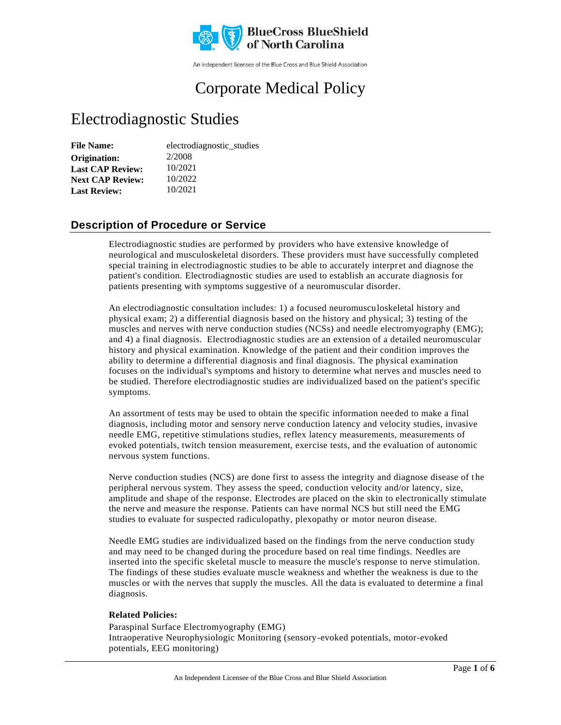

An independent licensee of the Blue Cross and Blue Shield Association

# Corporate Medical Policy

# Electrodiagnostic Studies

| <b>File Name:</b>       | electrodiagnostic_studies |
|-------------------------|---------------------------|
| Origination:            | 2/2008                    |
| <b>Last CAP Review:</b> | 10/2021                   |
| <b>Next CAP Review:</b> | 10/2022                   |
| <b>Last Review:</b>     | 10/2021                   |

### **Description of Procedure or Service**

Electrodiagnostic studies are performed by providers who have extensive knowledge of neurological and musculoskeletal disorders. These providers must have successfully completed special training in electrodiagnostic studies to be able to accurately interpret and diagnose the patient's condition. Electrodiagnostic studies are used to establish an accurate diagnosis for patients presenting with symptoms suggestive of a neuromuscular disorder.

An electrodiagnostic consultation includes: 1) a focused neuromusculoskeletal history and physical exam; 2) a differential diagnosis based on the history and physical; 3) testing of the muscles and nerves with nerve conduction studies (NCSs) and needle electromyography (EMG); and 4) a final diagnosis. Electrodiagnostic studies are an extension of a detailed neuromuscular history and physical examination. Knowledge of the patient and their condition improves the ability to determine a differential diagnosis and final diagnosis. The physical examination focuses on the individual's symptoms and history to determine what nerves and muscles need to be studied. Therefore electrodiagnostic studies are individualized based on the patient's specific symptoms.

An assortment of tests may be used to obtain the specific information needed to make a final diagnosis, including motor and sensory nerve conduction latency and velocity studies, invasive needle EMG, repetitive stimulations studies, reflex latency measurements, measurements of evoked potentials, twitch tension measurement, exercise tests, and the evaluation of autonomic nervous system functions.

Nerve conduction studies (NCS) are done first to assess the integrity and diagnose disease of the peripheral nervous system. They assess the speed, conduction velocity and/or latency, size, amplitude and shape of the response. Electrodes are placed on the skin to electronically stimulate the nerve and measure the response. Patients can have normal NCS but still need the EMG studies to evaluate for suspected radiculopathy, plexopathy or motor neuron disease.

Needle EMG studies are individualized based on the findings from the nerve conduction study and may need to be changed during the procedure based on real time findings. Needles are inserted into the specific skeletal muscle to measure the muscle's response to nerve stimulation. The findings of these studies evaluate muscle weakness and whether the weakness is due to the muscles or with the nerves that supply the muscles. All the data is evaluated to determine a final diagnosis.

#### **Related Policies:**

Paraspinal Surface Electromyography (EMG) Intraoperative Neurophysiologic Monitoring (sensory-evoked potentials, motor-evoked potentials, EEG monitoring)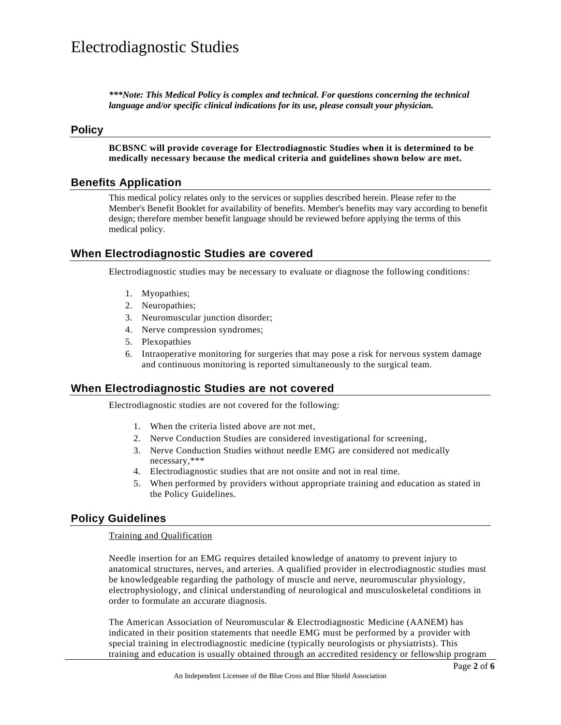*\*\*\*Note: This Medical Policy is complex and technical. For questions concerning the technical language and/or specific clinical indications for its use, please consult your physician.*

#### **Policy**

**BCBSNC will provide coverage for Electrodiagnostic Studies when it is determined to be medically necessary because the medical criteria and guidelines shown below are met.**

### **Benefits Application**

This medical policy relates only to the services or supplies described herein. Please refer to the Member's Benefit Booklet for availability of benefits. Member's benefits may vary according to benefit design; therefore member benefit language should be reviewed before applying the terms of this medical policy.

### **When Electrodiagnostic Studies are covered**

Electrodiagnostic studies may be necessary to evaluate or diagnose the following conditions:

- 1. Myopathies;
- 2. Neuropathies;
- 3. Neuromuscular junction disorder;
- 4. Nerve compression syndromes;
- 5. Plexopathies
- 6. Intraoperative monitoring for surgeries that may pose a risk for nervous system damage and continuous monitoring is reported simultaneously to the surgical team.

#### **When Electrodiagnostic Studies are not covered**

Electrodiagnostic studies are not covered for the following:

- 1. When the criteria listed above are not met,
- 2. Nerve Conduction Studies are considered investigational for screening,
- 3. Nerve Conduction Studies without needle EMG are considered not medically necessary,\*\*\*
- 4. Electrodiagnostic studies that are not onsite and not in real time.
- 5. When performed by providers without appropriate training and education as stated in the Policy Guidelines.

### **Policy Guidelines**

#### Training and Qualification

Needle insertion for an EMG requires detailed knowledge of anatomy to prevent injury to anatomical structures, nerves, and arteries. A qualified provider in electrodiagnostic studies must be knowledgeable regarding the pathology of muscle and nerve, neuromuscular physiology, electrophysiology, and clinical understanding of neurological and musculoskeletal conditions in order to formulate an accurate diagnosis.

The American Association of Neuromuscular & Electrodiagnostic Medicine (AANEM) has indicated in their position statements that needle EMG must be performed by a provider with special training in electrodiagnostic medicine (typically neurologists or physiatrists). This training and education is usually obtained through an accredited residency or fellowship program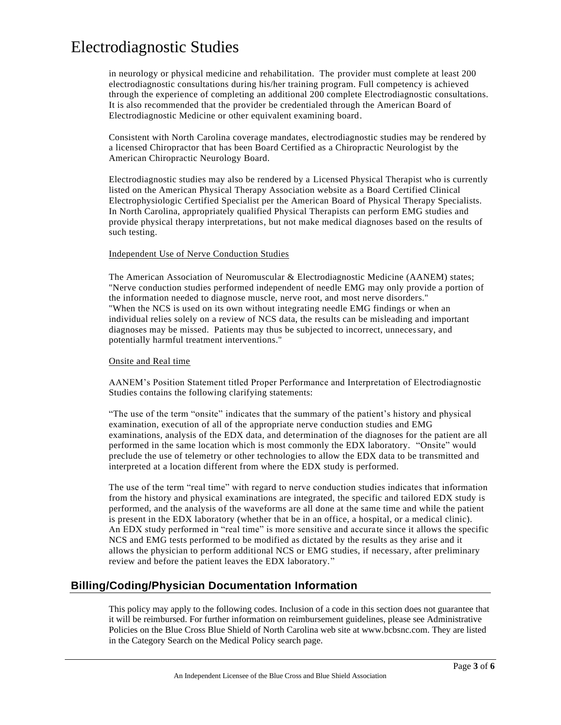in neurology or physical medicine and rehabilitation. The provider must complete at least 200 electrodiagnostic consultations during his/her training program. Full competency is achieved through the experience of completing an additional 200 complete Electrodiagnostic consultations. It is also recommended that the provider be credentialed through the American Board of Electrodiagnostic Medicine or other equivalent examining board.

Consistent with North Carolina coverage mandates, electrodiagnostic studies may be rendered by a licensed Chiropractor that has been Board Certified as a Chiropractic Neurologist by the American Chiropractic Neurology Board.

Electrodiagnostic studies may also be rendered by a Licensed Physical Therapist who is currently listed on the American Physical Therapy Association website as a Board Certified Clinical Electrophysiologic Certified Specialist per the American Board of Physical Therapy Specialists. In North Carolina, appropriately qualified Physical Therapists can perform EMG studies and provide physical therapy interpretations, but not make medical diagnoses based on the results of such testing.

#### Independent Use of Nerve Conduction Studies

The American Association of Neuromuscular & Electrodiagnostic Medicine (AANEM) states; "Nerve conduction studies performed independent of needle EMG may only provide a portion of the information needed to diagnose muscle, nerve root, and most nerve disorders." "When the NCS is used on its own without integrating needle EMG findings or when an individual relies solely on a review of NCS data, the results can be misleading and important diagnoses may be missed. Patients may thus be subjected to incorrect, unnecessary, and potentially harmful treatment interventions."

#### Onsite and Real time

AANEM's Position Statement titled Proper Performance and Interpretation of Electrodiagnostic Studies contains the following clarifying statements:

"The use of the term "onsite" indicates that the summary of the patient's history and physical examination, execution of all of the appropriate nerve conduction studies and EMG examinations, analysis of the EDX data, and determination of the diagnoses for the patient are all performed in the same location which is most commonly the EDX laboratory. "Onsite" would preclude the use of telemetry or other technologies to allow the EDX data to be transmitted and interpreted at a location different from where the EDX study is performed.

The use of the term "real time" with regard to nerve conduction studies indicates that information from the history and physical examinations are integrated, the specific and tailored EDX study is performed, and the analysis of the waveforms are all done at the same time and while the patient is present in the EDX laboratory (whether that be in an office, a hospital, or a medical clinic). An EDX study performed in "real time" is more sensitive and accurate since it allows the specific NCS and EMG tests performed to be modified as dictated by the results as they arise and it allows the physician to perform additional NCS or EMG studies, if necessary, after preliminary review and before the patient leaves the EDX laboratory."

### **Billing/Coding/Physician Documentation Information**

This policy may apply to the following codes. Inclusion of a code in this section does not guarantee that it will be reimbursed. For further information on reimbursement guidelines, please see Administrative Policies on the Blue Cross Blue Shield of North Carolina web site at www.bcbsnc.com. They are listed in the Category Search on the Medical Policy search page.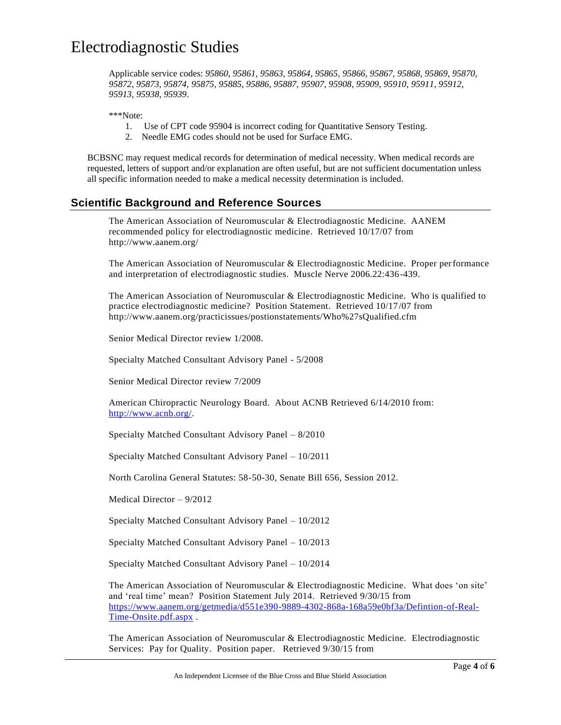Applicable service codes: *95860, 95861, 95863, 95864, 95865, 95866, 95867, 95868, 95869, 95870, 95872, 95873, 95874, 95875, 95885, 95886, 95887, 95907, 95908, 95909, 95910, 95911, 95912, 95913, 95938, 95939*.

\*\*\*Note:

- 1. Use of CPT code 95904 is incorrect coding for Quantitative Sensory Testing.
- 2. Needle EMG codes should not be used for Surface EMG.

BCBSNC may request medical records for determination of medical necessity. When medical records are requested, letters of support and/or explanation are often useful, but are not sufficient documentation unless all specific information needed to make a medical necessity determination is included.

### **Scientific Background and Reference Sources**

The American Association of Neuromuscular & Electrodiagnostic Medicine. AANEM recommended policy for electrodiagnostic medicine. Retrieved 10/17/07 from http://www.aanem.org/

The American Association of Neuromuscular & Electrodiagnostic Medicine. Proper performance and interpretation of electrodiagnostic studies. Muscle Nerve 2006.22:436-439.

The American Association of Neuromuscular & Electrodiagnostic Medicine. Who is qualified to practice electrodiagnostic medicine? Position Statement. Retrieved 10/17/07 from http://www.aanem.org/practicissues/postionstatements/Who%27sQualified.cfm

Senior Medical Director review 1/2008.

Specialty Matched Consultant Advisory Panel - 5/2008

Senior Medical Director review 7/2009

American Chiropractic Neurology Board. About ACNB Retrieved 6/14/2010 from: [http://www.acnb.org/.](http://www.acnb.org/)

Specialty Matched Consultant Advisory Panel – 8/2010

Specialty Matched Consultant Advisory Panel – 10/2011

North Carolina General Statutes: 58-50-30, Senate Bill 656, Session 2012.

Medical Director – 9/2012

Specialty Matched Consultant Advisory Panel – 10/2012

Specialty Matched Consultant Advisory Panel – 10/2013

Specialty Matched Consultant Advisory Panel – 10/2014

The American Association of Neuromuscular & Electrodiagnostic Medicine. What does 'on site' and 'real time' mean? Position Statement July 2014. Retrieved 9/30/15 from [https://www.aanem.org/getmedia/d551e390-9889-4302-868a-168a59e0bf3a/Defintion-of-Real-](https://www.aanem.org/getmedia/d551e390-9889-4302-868a-168a59e0bf3a/Defintion-of-Real-Time-Onsite.pdf.aspx)[Time-Onsite.pdf.aspx](https://www.aanem.org/getmedia/d551e390-9889-4302-868a-168a59e0bf3a/Defintion-of-Real-Time-Onsite.pdf.aspx) .

The American Association of Neuromuscular & Electrodiagnostic Medicine. Electrodiagnostic Services: Pay for Quality. Position paper. Retrieved 9/30/15 from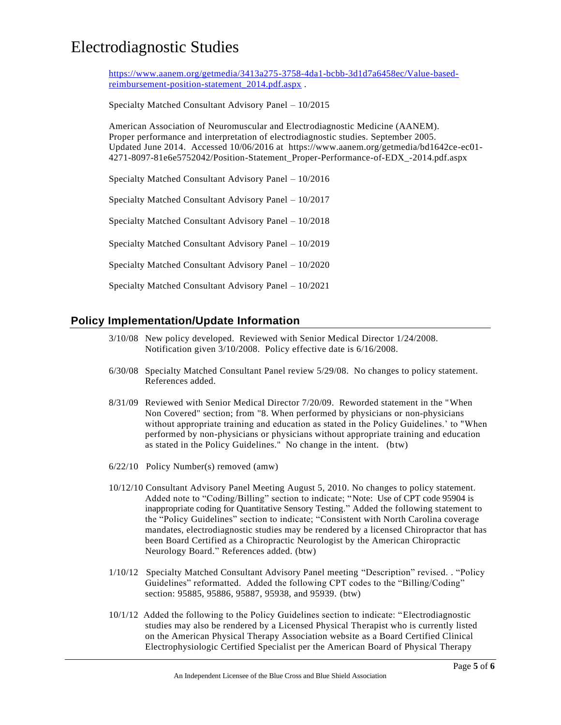[https://www.aanem.org/getmedia/3413a275-3758-4da1-bcbb-3d1d7a6458ec/Value-based](https://www.aanem.org/getmedia/3413a275-3758-4da1-bcbb-3d1d7a6458ec/Value-based-reimbursement-position-statement_2014.pdf.aspx)[reimbursement-position-statement\\_2014.pdf.aspx](https://www.aanem.org/getmedia/3413a275-3758-4da1-bcbb-3d1d7a6458ec/Value-based-reimbursement-position-statement_2014.pdf.aspx) .

Specialty Matched Consultant Advisory Panel – 10/2015

American Association of Neuromuscular and Electrodiagnostic Medicine (AANEM). Proper performance and interpretation of electrodiagnostic studies. September 2005. Updated June 2014. Accessed 10/06/2016 at https://www.aanem.org/getmedia/bd1642ce-ec01- 4271-8097-81e6e5752042/Position-Statement\_Proper-Performance-of-EDX\_-2014.pdf.aspx

Specialty Matched Consultant Advisory Panel – 10/2016

Specialty Matched Consultant Advisory Panel – 10/2017

Specialty Matched Consultant Advisory Panel – 10/2018

Specialty Matched Consultant Advisory Panel – 10/2019

Specialty Matched Consultant Advisory Panel – 10/2020

Specialty Matched Consultant Advisory Panel – 10/2021

### **Policy Implementation/Update Information**

- 3/10/08 New policy developed. Reviewed with Senior Medical Director 1/24/2008. Notification given 3/10/2008. Policy effective date is 6/16/2008.
- 6/30/08 Specialty Matched Consultant Panel review 5/29/08. No changes to policy statement. References added.
- 8/31/09 Reviewed with Senior Medical Director 7/20/09. Reworded statement in the "When Non Covered" section; from "8. When performed by physicians or non-physicians without appropriate training and education as stated in the Policy Guidelines.' to "When performed by non-physicians or physicians without appropriate training and education as stated in the Policy Guidelines." No change in the intent. (btw)
- 6/22/10 Policy Number(s) removed (amw)
- 10/12/10 Consultant Advisory Panel Meeting August 5, 2010. No changes to policy statement. Added note to "Coding/Billing" section to indicate; "Note: Use of CPT code 95904 is inappropriate coding for Quantitative Sensory Testing." Added the following statement to the "Policy Guidelines" section to indicate; "Consistent with North Carolina coverage mandates, electrodiagnostic studies may be rendered by a licensed Chiropractor that has been Board Certified as a Chiropractic Neurologist by the American Chiropractic Neurology Board." References added. (btw)
- 1/10/12 Specialty Matched Consultant Advisory Panel meeting "Description" revised. . "Policy Guidelines" reformatted. Added the following CPT codes to the "Billing/Coding" section: 95885, 95886, 95887, 95938, and 95939. (btw)
- 10/1/12 Added the following to the Policy Guidelines section to indicate: "Electrodiagnostic studies may also be rendered by a Licensed Physical Therapist who is currently listed on the American Physical Therapy Association website as a Board Certified Clinical Electrophysiologic Certified Specialist per the American Board of Physical Therapy